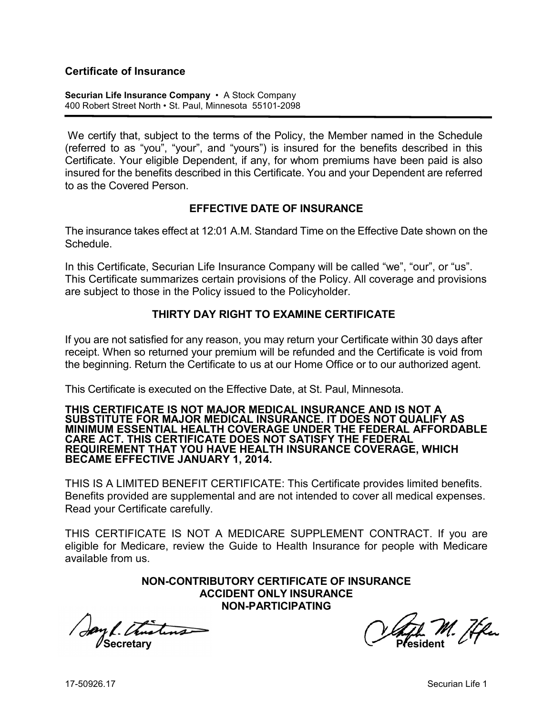# **Certificate of Insurance**

**Securian Life Insurance Company** • A Stock Company 400 Robert Street North • St. Paul, Minnesota 55101-2098

We certify that, subject to the terms of the Policy, the Member named in the Schedule (referred to as "you", "your", and "yours") is insured for the benefits described in this Certificate. Your eligible Dependent, if any, for whom premiums have been paid is also insured for the benefits described in this Certificate. You and your Dependent are referred to as the Covered Person.

# **EFFECTIVE DATE OF INSURANCE**

The insurance takes effect at 12:01 A.M. Standard Time on the Effective Date shown on the **Schedule** 

In this Certificate, Securian Life Insurance Company will be called "we", "our", or "us". This Certificate summarizes certain provisions of the Policy. All coverage and provisions are subject to those in the Policy issued to the Policyholder.

# **THIRTY DAY RIGHT TO EXAMINE CERTIFICATE**

If you are not satisfied for any reason, you may return your Certificate within 30 days after receipt. When so returned your premium will be refunded and the Certificate is void from the beginning. Return the Certificate to us at our Home Office or to our authorized agent.

This Certificate is executed on the Effective Date, at St. Paul, Minnesota.

#### **THIS CERTIFICATE IS NOT MAJOR MEDICAL INSURANCE AND IS NOT A SUBSTITUTE FOR MAJOR MEDICAL INSURANCE. IT DOES NOT QUALIFY AS MINIMUM ESSENTIAL HEALTH COVERAGE UNDER THE FEDERAL AFFORDABLE CARE ACT. THIS CERTIFICATE DOES NOT SATISFY THE FEDERAL REQUIREMENT THAT YOU HAVE HEALTH INSURANCE COVERAGE, WHICH BECAME EFFECTIVE JANUARY 1, 2014.**

THIS IS A LIMITED BENEFIT CERTIFICATE: This Certificate provides limited benefits. Benefits provided are supplemental and are not intended to cover all medical expenses. Read your Certificate carefully.

THIS CERTIFICATE IS NOT A MEDICARE SUPPLEMENT CONTRACT. If you are eligible for Medicare, review the Guide to Health Insurance for people with Medicare available from us.

> **NON-CONTRIBUTORY CERTIFICATE OF INSURANCE ACCIDENT ONLY INSURANCE NON-PARTICIPATING**

**Secretary Construction Construction Construction President** 

M. Æku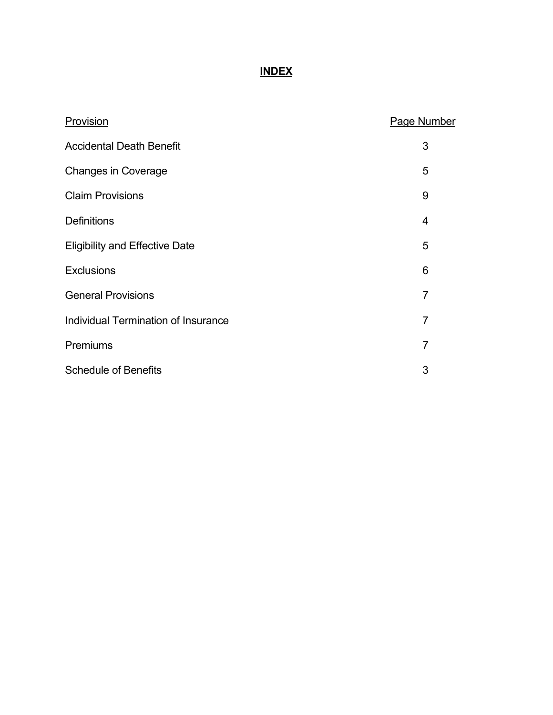# **INDEX**

| Provision                             | Page Number    |
|---------------------------------------|----------------|
| <b>Accidental Death Benefit</b>       | 3              |
| <b>Changes in Coverage</b>            | 5              |
| <b>Claim Provisions</b>               | 9              |
| <b>Definitions</b>                    | 4              |
| <b>Eligibility and Effective Date</b> | 5              |
| <b>Exclusions</b>                     | 6              |
| <b>General Provisions</b>             | $\overline{7}$ |
| Individual Termination of Insurance   | $\overline{7}$ |
| Premiums                              | $\overline{7}$ |
| <b>Schedule of Benefits</b>           | 3              |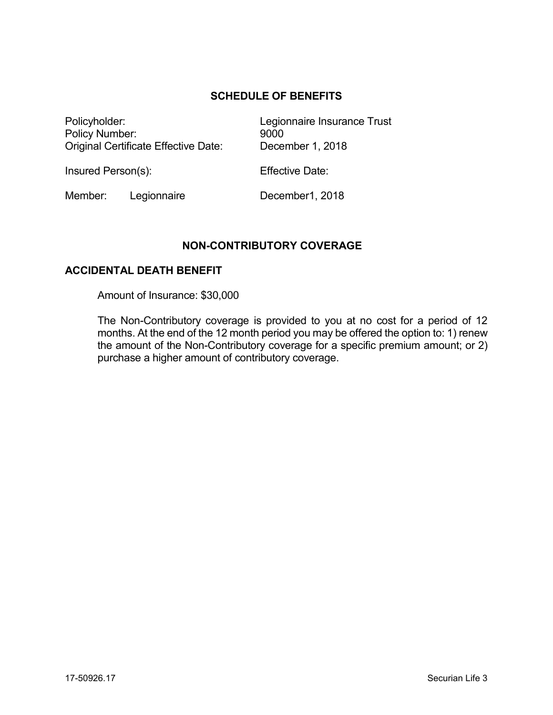# **SCHEDULE OF BENEFITS**

Policyholder: Legionnaire Insurance Trust Policy Number: 9000 Original Certificate Effective Date: December 1, 2018

Insured Person(s): The Effective Date:

Member: Legionnaire December1, 2018

# **NON-CONTRIBUTORY COVERAGE**

#### **ACCIDENTAL DEATH BENEFIT**

Amount of Insurance: \$30,000

The Non-Contributory coverage is provided to you at no cost for a period of 12 months. At the end of the 12 month period you may be offered the option to: 1) renew the amount of the Non-Contributory coverage for a specific premium amount; or 2) purchase a higher amount of contributory coverage.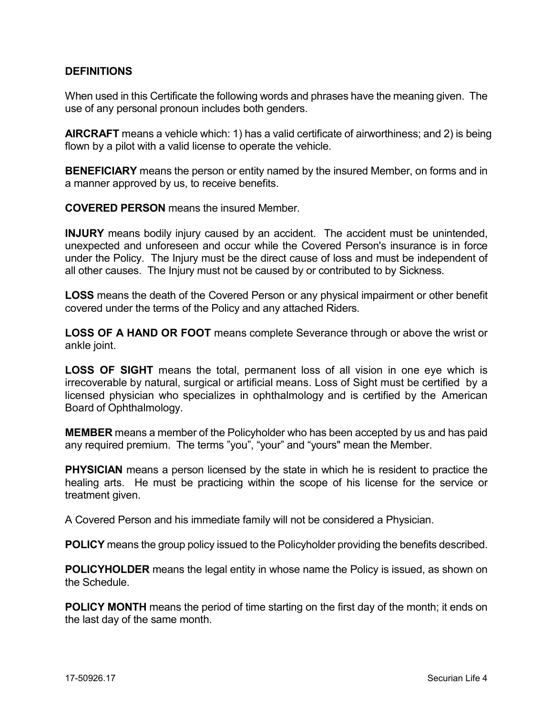# **DEFINITIONS**

When used in this Certificate the following words and phrases have the meaning given. The use of any personal pronoun includes both genders.

**AIRCRAFT** means a vehicle which: 1) has a valid certificate of airworthiness; and 2) is being flown by a pilot with a valid license to operate the vehicle.

**BENEFICIARY** means the person or entity named by the insured Member, on forms and in a manner approved by us, to receive benefits.

**COVERED PERSON** means the insured Member.

**INJURY** means bodily injury caused by an accident. The accident must be unintended, unexpected and unforeseen and occur while the Covered Person's insurance is in force under the Policy. The Injury must be the direct cause of loss and must be independent of all other causes. The Injury must not be caused by or contributed to by Sickness.

**LOSS** means the death of the Covered Person or any physical impairment or other benefit covered under the terms of the Policy and any attached Riders.

**LOSS OF A HAND OR FOOT** means complete Severance through or above the wrist or ankle joint.

**LOSS OF SIGHT** means the total, permanent loss of all vision in one eye which is irrecoverable by natural, surgical or artificial means. Loss of Sight must be certified by a licensed physician who specializes in ophthalmology and is certified by the American Board of Ophthalmology.

**MEMBER** means a member of the Policyholder who has been accepted by us and has paid any required premium. The terms "you", "your" and "yours" mean the Member.

**PHYSICIAN** means a person licensed by the state in which he is resident to practice the healing arts. He must be practicing within the scope of his license for the service or treatment given.

A Covered Person and his immediate family will not be considered a Physician.

**POLICY** means the group policy issued to the Policyholder providing the benefits described.

**POLICYHOLDER** means the legal entity in whose name the Policy is issued, as shown on the Schedule.

**POLICY MONTH** means the period of time starting on the first day of the month; it ends on the last day of the same month.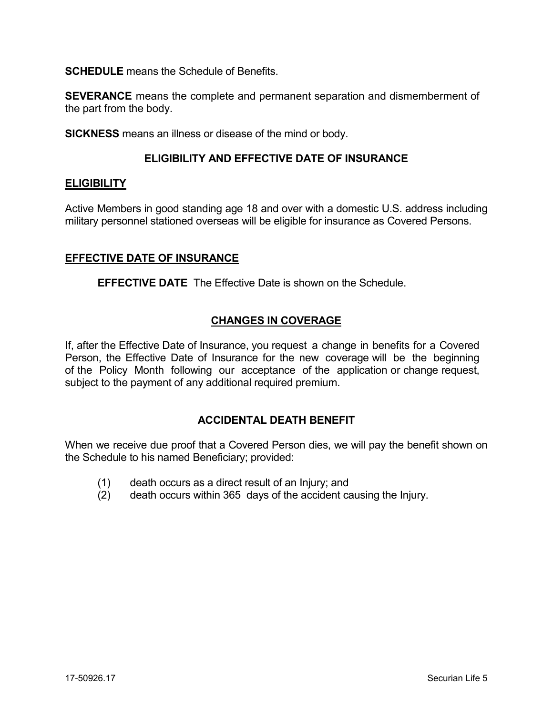**SCHEDULE** means the Schedule of Benefits.

**SEVERANCE** means the complete and permanent separation and dismemberment of the part from the body.

**SICKNESS** means an illness or disease of the mind or body.

### **ELIGIBILITY AND EFFECTIVE DATE OF INSURANCE**

#### **ELIGIBILITY**

Active Members in good standing age 18 and over with a domestic U.S. address including military personnel stationed overseas will be eligible for insurance as Covered Persons.

#### **EFFECTIVE DATE OF INSURANCE**

**EFFECTIVE DATE** The Effective Date is shown on the Schedule.

# **CHANGES IN COVERAGE**

If, after the Effective Date of Insurance, you request a change in benefits for a Covered Person, the Effective Date of Insurance for the new coverage will be the beginning of the Policy Month following our acceptance of the application or change request, subject to the payment of any additional required premium.

#### **ACCIDENTAL DEATH BENEFIT**

When we receive due proof that a Covered Person dies, we will pay the benefit shown on the Schedule to his named Beneficiary; provided:

- (1) death occurs as a direct result of an Injury; and
- (2) death occurs within 365 days of the accident causing the Injury.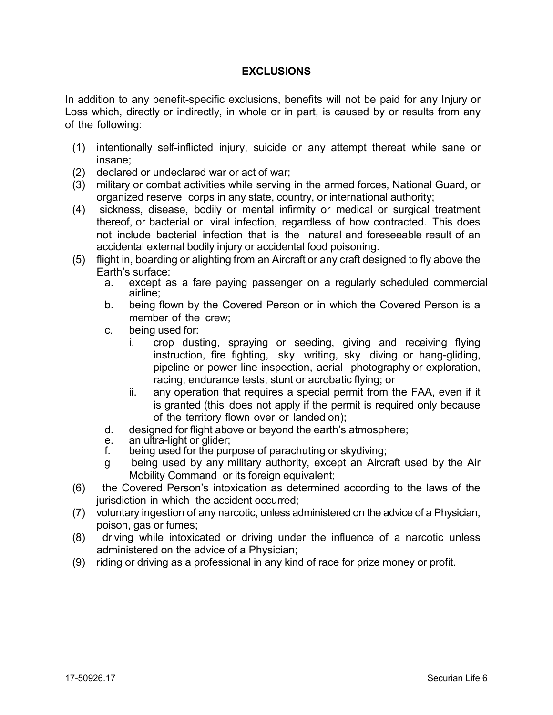# **EXCLUSIONS**

In addition to any benefit-specific exclusions, benefits will not be paid for any Injury or Loss which, directly or indirectly, in whole or in part, is caused by or results from any of the following:

- (1) intentionally self-inflicted injury, suicide or any attempt thereat while sane or insane;
- (2) declared or undeclared war or act of war;
- (3) military or combat activities while serving in the armed forces, National Guard, or organized reserve corps in any state, country, or international authority;
- (4) sickness, disease, bodily or mental infirmity or medical or surgical treatment thereof, or bacterial or viral infection, regardless of how contracted. This does not include bacterial infection that is the natural and foreseeable result of an accidental external bodily injury or accidental food poisoning.
- (5) flight in, boarding or alighting from an Aircraft or any craft designed to fly above the Earth's surface:
	- a. except as a fare paying passenger on a regularly scheduled commercial airline;
	- b. being flown by the Covered Person or in which the Covered Person is a member of the crew;
	- c. being used for:
		- i. crop dusting, spraying or seeding, giving and receiving flying instruction, fire fighting, sky writing, sky diving or hang-gliding, pipeline or power line inspection, aerial photography or exploration, racing, endurance tests, stunt or acrobatic flying; or
		- ii. any operation that requires a special permit from the FAA, even if it is granted (this does not apply if the permit is required only because of the territory flown over or landed on);
	- d. designed for flight above or beyond the earth's atmosphere;
	- e. an ultra-light or glider;<br>f. being used for the pur
	- being used for the purpose of parachuting or skydiving;
	- g being used by any military authority, except an Aircraft used by the Air Mobility Command or its foreign equivalent;
- (6) the Covered Person's intoxication as determined according to the laws of the jurisdiction in which the accident occurred;
- (7) voluntary ingestion of any narcotic, unless administered on the advice of a Physician, poison, gas or fumes;
- (8) driving while intoxicated or driving under the influence of a narcotic unless administered on the advice of a Physician;
- (9) riding or driving as a professional in any kind of race for prize money or profit.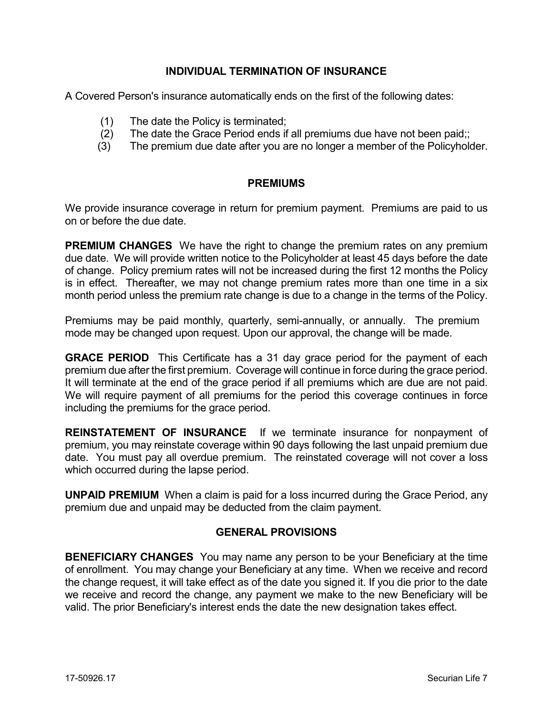# **INDIVIDUAL TERMINATION OF INSURANCE**

A Covered Person's insurance automatically ends on the first of the following dates:

- (1) The date the Policy is terminated;
- (2) The date the Grace Period ends if all premiums due have not been paid;;
- (3) The premium due date after you are no longer a member of the Policyholder.

#### **PREMIUMS**

We provide insurance coverage in return for premium payment. Premiums are paid to us on or before the due date.

**PREMIUM CHANGES** We have the right to change the premium rates on any premium due date. We will provide written notice to the Policyholder at least 45 days before the date of change. Policy premium rates will not be increased during the first 12 months the Policy is in effect. Thereafter, we may not change premium rates more than one time in a six month period unless the premium rate change is due to a change in the terms of the Policy.

Premiums may be paid monthly, quarterly, semi-annually, or annually. The premium mode may be changed upon request. Upon our approval, the change will be made.

**GRACE PERIOD** This Certificate has a 31 day grace period for the payment of each premium due after the first premium. Coverage will continue in force during the grace period. It will terminate at the end of the grace period if all premiums which are due are not paid. We will require payment of all premiums for the period this coverage continues in force including the premiums for the grace period.

**REINSTATEMENT OF INSURANCE** If we terminate insurance for nonpayment of premium, you may reinstate coverage within 90 days following the last unpaid premium due date. You must pay all overdue premium. The reinstated coverage will not cover a loss which occurred during the lapse period.

**UNPAID PREMIUM** When a claim is paid for a loss incurred during the Grace Period, any premium due and unpaid may be deducted from the claim payment.

# **GENERAL PROVISIONS**

**BENEFICIARY CHANGES** You may name any person to be your Beneficiary at the time of enrollment. You may change your Beneficiary at any time. When we receive and record the change request, it will take effect as of the date you signed it. If you die prior to the date we receive and record the change, any payment we make to the new Beneficiary will be valid. The prior Beneficiary's interest ends the date the new designation takes effect.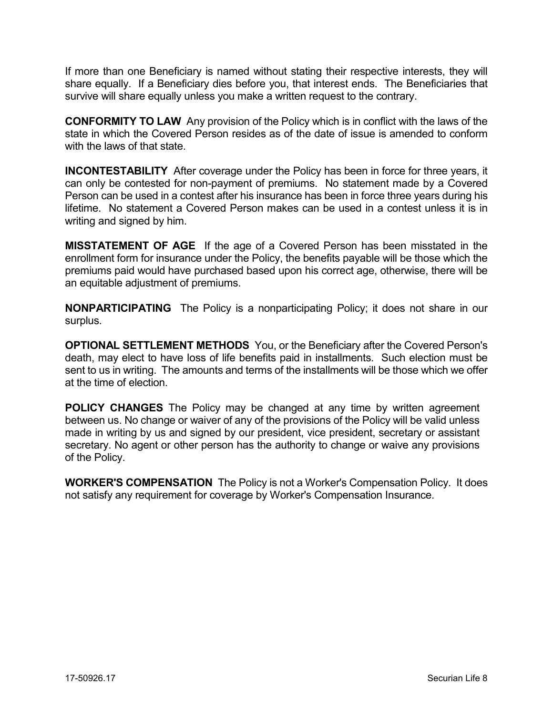If more than one Beneficiary is named without stating their respective interests, they will share equally. If a Beneficiary dies before you, that interest ends. The Beneficiaries that survive will share equally unless you make a written request to the contrary.

**CONFORMITY TO LAW** Any provision of the Policy which is in conflict with the laws of the state in which the Covered Person resides as of the date of issue is amended to conform with the laws of that state.

**INCONTESTABILITY** After coverage under the Policy has been in force for three years, it can only be contested for non-payment of premiums. No statement made by a Covered Person can be used in a contest after his insurance has been in force three years during his lifetime. No statement a Covered Person makes can be used in a contest unless it is in writing and signed by him.

**MISSTATEMENT OF AGE** If the age of a Covered Person has been misstated in the enrollment form for insurance under the Policy, the benefits payable will be those which the premiums paid would have purchased based upon his correct age, otherwise, there will be an equitable adjustment of premiums.

**NONPARTICIPATING** The Policy is a nonparticipating Policy; it does not share in our surplus.

**OPTIONAL SETTLEMENT METHODS** You, or the Beneficiary after the Covered Person's death, may elect to have loss of life benefits paid in installments. Such election must be sent to us in writing. The amounts and terms of the installments will be those which we offer at the time of election.

**POLICY CHANGES** The Policy may be changed at any time by written agreement between us. No change or waiver of any of the provisions of the Policy will be valid unless made in writing by us and signed by our president, vice president, secretary or assistant secretary. No agent or other person has the authority to change or waive any provisions of the Policy.

**WORKER'S COMPENSATION** The Policy is not a Worker's Compensation Policy. It does not satisfy any requirement for coverage by Worker's Compensation Insurance.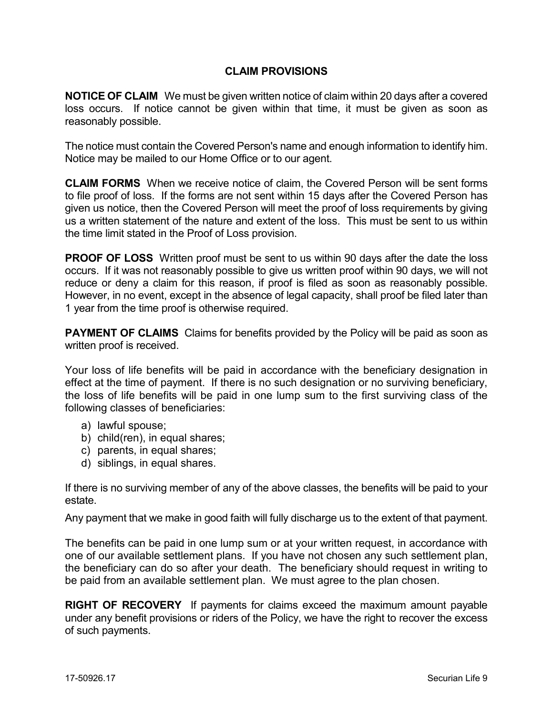# **CLAIM PROVISIONS**

**NOTICE OF CLAIM** We must be given written notice of claim within 20 days after a covered loss occurs. If notice cannot be given within that time, it must be given as soon as reasonably possible.

The notice must contain the Covered Person's name and enough information to identify him. Notice may be mailed to our Home Office or to our agent.

**CLAIM FORMS** When we receive notice of claim, the Covered Person will be sent forms to file proof of loss. If the forms are not sent within 15 days after the Covered Person has given us notice, then the Covered Person will meet the proof of loss requirements by giving us a written statement of the nature and extent of the loss. This must be sent to us within the time limit stated in the Proof of Loss provision.

**PROOF OF LOSS** Written proof must be sent to us within 90 days after the date the loss occurs. If it was not reasonably possible to give us written proof within 90 days, we will not reduce or deny a claim for this reason, if proof is filed as soon as reasonably possible. However, in no event, except in the absence of legal capacity, shall proof be filed later than 1 year from the time proof is otherwise required.

**PAYMENT OF CLAIMS** Claims for benefits provided by the Policy will be paid as soon as written proof is received.

Your loss of life benefits will be paid in accordance with the beneficiary designation in effect at the time of payment. If there is no such designation or no surviving beneficiary, the loss of life benefits will be paid in one lump sum to the first surviving class of the following classes of beneficiaries:

- a) lawful spouse;
- b) child(ren), in equal shares;
- c) parents, in equal shares;
- d) siblings, in equal shares.

If there is no surviving member of any of the above classes, the benefits will be paid to your estate.

Any payment that we make in good faith will fully discharge us to the extent of that payment.

The benefits can be paid in one lump sum or at your written request, in accordance with one of our available settlement plans. If you have not chosen any such settlement plan, the beneficiary can do so after your death. The beneficiary should request in writing to be paid from an available settlement plan. We must agree to the plan chosen.

**RIGHT OF RECOVERY** If payments for claims exceed the maximum amount payable under any benefit provisions or riders of the Policy, we have the right to recover the excess of such payments.